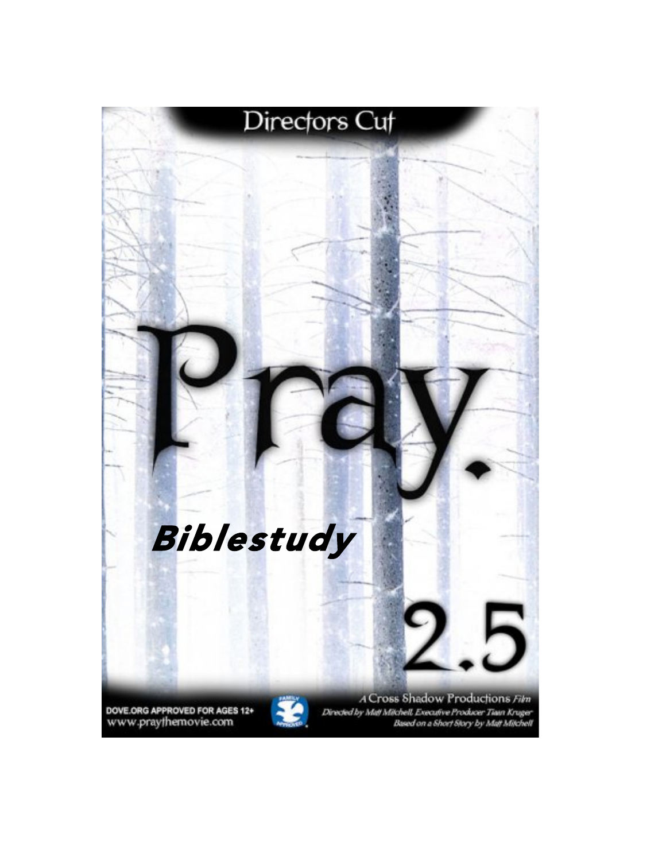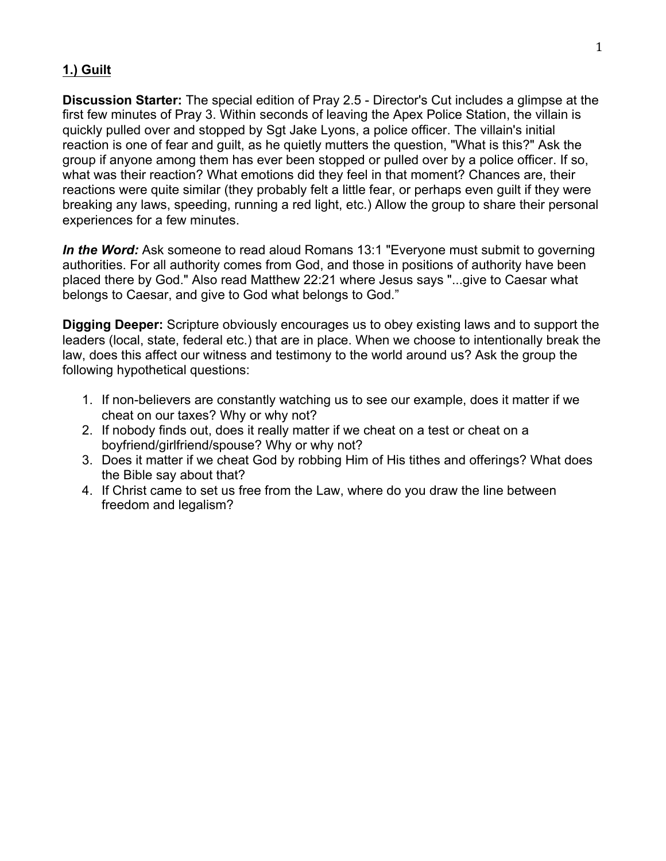#### **1.) Guilt**

**Discussion Starter:** The special edition of Pray 2.5 - Director's Cut includes a glimpse at the first few minutes of Pray 3. Within seconds of leaving the Apex Police Station, the villain is quickly pulled over and stopped by Sgt Jake Lyons, a police officer. The villain's initial reaction is one of fear and guilt, as he quietly mutters the question, "What is this?" Ask the group if anyone among them has ever been stopped or pulled over by a police officer. If so, what was their reaction? What emotions did they feel in that moment? Chances are, their reactions were quite similar (they probably felt a little fear, or perhaps even guilt if they were breaking any laws, speeding, running a red light, etc.) Allow the group to share their personal experiences for a few minutes.

*In the Word:* Ask someone to read aloud Romans 13:1 "Everyone must submit to governing authorities. For all authority comes from God, and those in positions of authority have been placed there by God." Also read Matthew 22:21 where Jesus says "...give to Caesar what belongs to Caesar, and give to God what belongs to God."

**Digging Deeper:** Scripture obviously encourages us to obey existing laws and to support the leaders (local, state, federal etc.) that are in place. When we choose to intentionally break the law, does this affect our witness and testimony to the world around us? Ask the group the following hypothetical questions:

- 1. If non-believers are constantly watching us to see our example, does it matter if we cheat on our taxes? Why or why not?
- 2. If nobody finds out, does it really matter if we cheat on a test or cheat on a boyfriend/girlfriend/spouse? Why or why not?
- 3. Does it matter if we cheat God by robbing Him of His tithes and offerings? What does the Bible say about that?
- 4. If Christ came to set us free from the Law, where do you draw the line between freedom and legalism?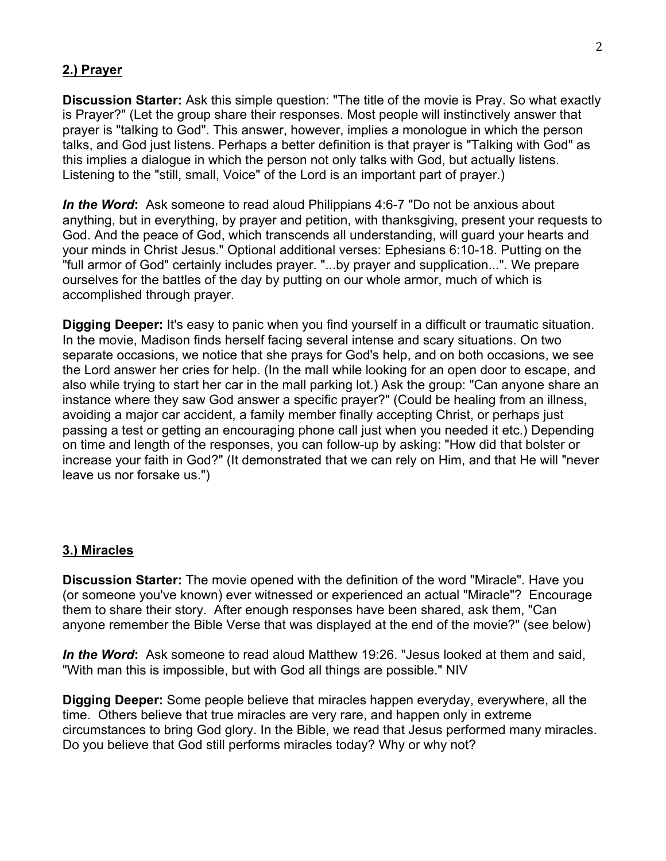### **2.) Prayer**

**Discussion Starter:** Ask this simple question: "The title of the movie is Pray. So what exactly is Prayer?" (Let the group share their responses. Most people will instinctively answer that prayer is "talking to God". This answer, however, implies a monologue in which the person talks, and God just listens. Perhaps a better definition is that prayer is "Talking with God" as this implies a dialogue in which the person not only talks with God, but actually listens. Listening to the "still, small, Voice" of the Lord is an important part of prayer.)

*In the Word***:** Ask someone to read aloud Philippians 4:6-7 "Do not be anxious about anything, but in everything, by prayer and petition, with thanksgiving, present your requests to God. And the peace of God, which transcends all understanding, will guard your hearts and your minds in Christ Jesus." Optional additional verses: Ephesians 6:10-18. Putting on the "full armor of God" certainly includes prayer. "...by prayer and supplication...". We prepare ourselves for the battles of the day by putting on our whole armor, much of which is accomplished through prayer.

**Digging Deeper:** It's easy to panic when you find yourself in a difficult or traumatic situation. In the movie, Madison finds herself facing several intense and scary situations. On two separate occasions, we notice that she prays for God's help, and on both occasions, we see the Lord answer her cries for help. (In the mall while looking for an open door to escape, and also while trying to start her car in the mall parking lot.) Ask the group: "Can anyone share an instance where they saw God answer a specific prayer?" (Could be healing from an illness, avoiding a major car accident, a family member finally accepting Christ, or perhaps just passing a test or getting an encouraging phone call just when you needed it etc.) Depending on time and length of the responses, you can follow-up by asking: "How did that bolster or increase your faith in God?" (It demonstrated that we can rely on Him, and that He will "never leave us nor forsake us.")

#### **3.) Miracles**

**Discussion Starter:** The movie opened with the definition of the word "Miracle". Have you (or someone you've known) ever witnessed or experienced an actual "Miracle"? Encourage them to share their story. After enough responses have been shared, ask them, "Can anyone remember the Bible Verse that was displayed at the end of the movie?" (see below)

*In the Word***:** Ask someone to read aloud Matthew 19:26. "Jesus looked at them and said, "With man this is impossible, but with God all things are possible." NIV

**Digging Deeper:** Some people believe that miracles happen everyday, everywhere, all the time. Others believe that true miracles are very rare, and happen only in extreme circumstances to bring God glory. In the Bible, we read that Jesus performed many miracles. Do you believe that God still performs miracles today? Why or why not?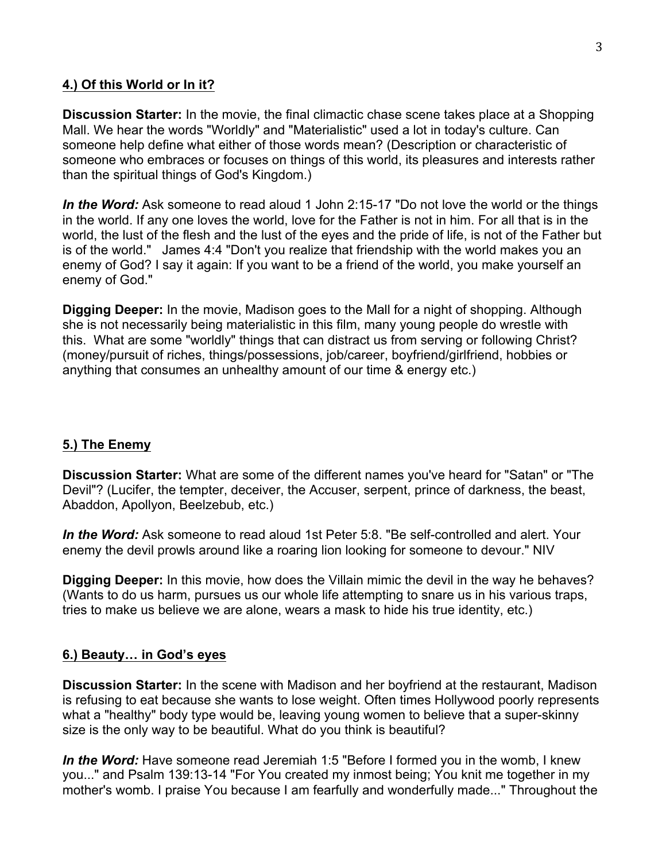### **4.) Of this World or In it?**

**Discussion Starter:** In the movie, the final climactic chase scene takes place at a Shopping Mall. We hear the words "Worldly" and "Materialistic" used a lot in today's culture. Can someone help define what either of those words mean? (Description or characteristic of someone who embraces or focuses on things of this world, its pleasures and interests rather than the spiritual things of God's Kingdom.)

In the Word: Ask someone to read aloud 1 John 2:15-17 "Do not love the world or the things in the world. If any one loves the world, love for the Father is not in him. For all that is in the world, the lust of the flesh and the lust of the eyes and the pride of life, is not of the Father but is of the world." James 4:4 "Don't you realize that friendship with the world makes you an enemy of God? I say it again: If you want to be a friend of the world, you make yourself an enemy of God."

**Digging Deeper:** In the movie, Madison goes to the Mall for a night of shopping. Although she is not necessarily being materialistic in this film, many young people do wrestle with this. What are some "worldly" things that can distract us from serving or following Christ? (money/pursuit of riches, things/possessions, job/career, boyfriend/girlfriend, hobbies or anything that consumes an unhealthy amount of our time & energy etc.)

## **5.) The Enemy**

**Discussion Starter:** What are some of the different names you've heard for "Satan" or "The Devil"? (Lucifer, the tempter, deceiver, the Accuser, serpent, prince of darkness, the beast, Abaddon, Apollyon, Beelzebub, etc.)

*In the Word:* Ask someone to read aloud 1st Peter 5:8. "Be self-controlled and alert. Your enemy the devil prowls around like a roaring lion looking for someone to devour." NIV

**Digging Deeper:** In this movie, how does the Villain mimic the devil in the way he behaves? (Wants to do us harm, pursues us our whole life attempting to snare us in his various traps, tries to make us believe we are alone, wears a mask to hide his true identity, etc.)

#### **6.) Beauty… in God's eyes**

**Discussion Starter:** In the scene with Madison and her boyfriend at the restaurant, Madison is refusing to eat because she wants to lose weight. Often times Hollywood poorly represents what a "healthy" body type would be, leaving young women to believe that a super-skinny size is the only way to be beautiful. What do you think is beautiful?

*In the Word:* Have someone read Jeremiah 1:5 "Before I formed you in the womb, I knew you..." and Psalm 139:13-14 "For You created my inmost being; You knit me together in my mother's womb. I praise You because I am fearfully and wonderfully made..." Throughout the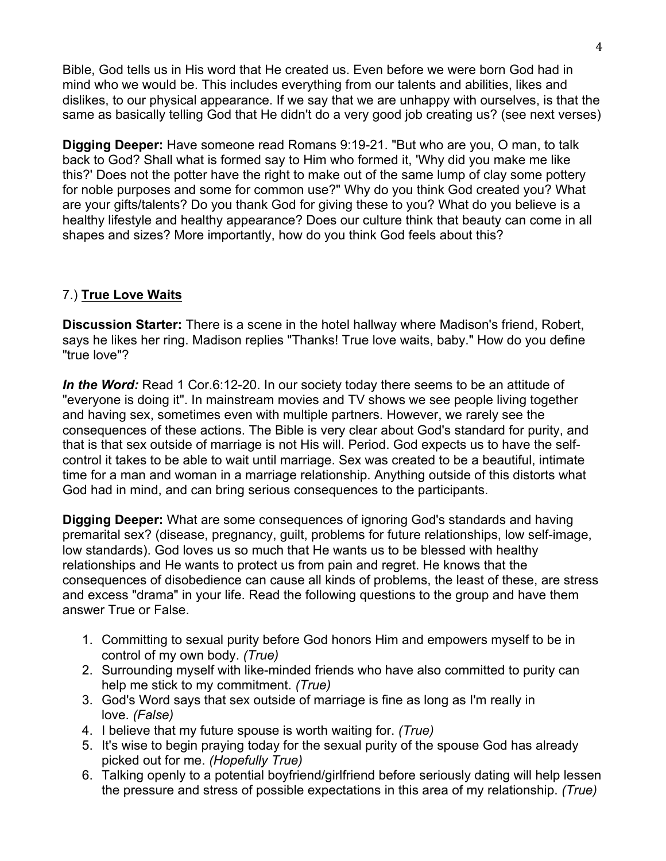Bible, God tells us in His word that He created us. Even before we were born God had in mind who we would be. This includes everything from our talents and abilities, likes and dislikes, to our physical appearance. If we say that we are unhappy with ourselves, is that the same as basically telling God that He didn't do a very good job creating us? (see next verses)

**Digging Deeper:** Have someone read Romans 9:19-21. "But who are you, O man, to talk back to God? Shall what is formed say to Him who formed it, 'Why did you make me like this?' Does not the potter have the right to make out of the same lump of clay some pottery for noble purposes and some for common use?" Why do you think God created you? What are your gifts/talents? Do you thank God for giving these to you? What do you believe is a healthy lifestyle and healthy appearance? Does our culture think that beauty can come in all shapes and sizes? More importantly, how do you think God feels about this?

## 7.) **True Love Waits**

**Discussion Starter:** There is a scene in the hotel hallway where Madison's friend, Robert, says he likes her ring. Madison replies "Thanks! True love waits, baby." How do you define "true love"?

*In the Word:* Read 1 Cor.6:12-20. In our society today there seems to be an attitude of "everyone is doing it". In mainstream movies and TV shows we see people living together and having sex, sometimes even with multiple partners. However, we rarely see the consequences of these actions. The Bible is very clear about God's standard for purity, and that is that sex outside of marriage is not His will. Period. God expects us to have the selfcontrol it takes to be able to wait until marriage. Sex was created to be a beautiful, intimate time for a man and woman in a marriage relationship. Anything outside of this distorts what God had in mind, and can bring serious consequences to the participants.

**Digging Deeper:** What are some consequences of ignoring God's standards and having premarital sex? (disease, pregnancy, guilt, problems for future relationships, low self-image, low standards). God loves us so much that He wants us to be blessed with healthy relationships and He wants to protect us from pain and regret. He knows that the consequences of disobedience can cause all kinds of problems, the least of these, are stress and excess "drama" in your life. Read the following questions to the group and have them answer True or False.

- 1. Committing to sexual purity before God honors Him and empowers myself to be in control of my own body. *(True)*
- 2. Surrounding myself with like-minded friends who have also committed to purity can help me stick to my commitment. *(True)*
- 3. God's Word says that sex outside of marriage is fine as long as I'm really in love. *(False)*
- 4. I believe that my future spouse is worth waiting for. *(True)*
- 5. It's wise to begin praying today for the sexual purity of the spouse God has already picked out for me. *(Hopefully True)*
- 6. Talking openly to a potential boyfriend/girlfriend before seriously dating will help lessen the pressure and stress of possible expectations in this area of my relationship. *(True)*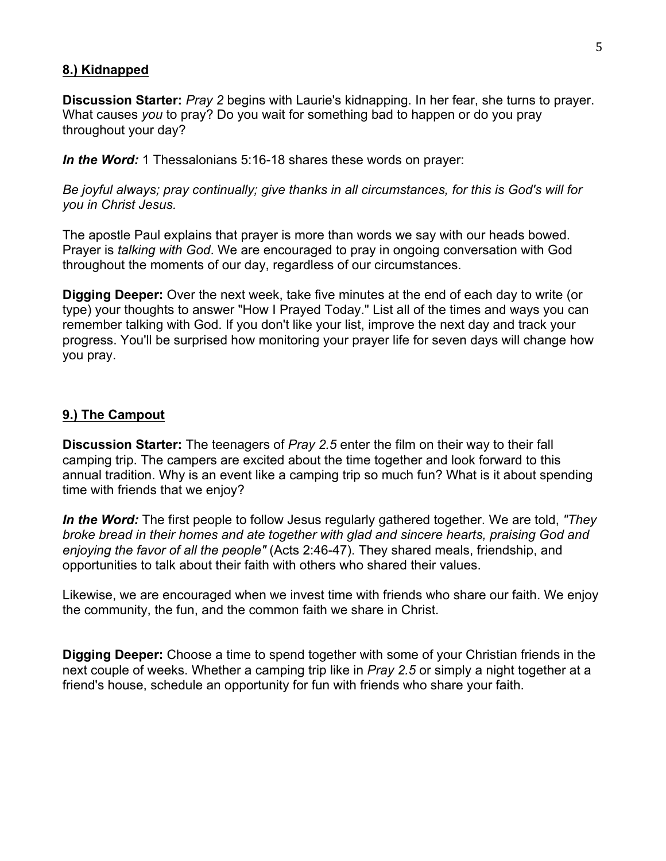#### **8.) Kidnapped**

**Discussion Starter:** *Pray 2* begins with Laurie's kidnapping. In her fear, she turns to prayer. What causes *you* to pray? Do you wait for something bad to happen or do you pray throughout your day?

*In the Word:* 1 Thessalonians 5:16-18 shares these words on prayer:

*Be joyful always; pray continually; give thanks in all circumstances, for this is God's will for you in Christ Jesus.*

The apostle Paul explains that prayer is more than words we say with our heads bowed. Prayer is *talking with God*. We are encouraged to pray in ongoing conversation with God throughout the moments of our day, regardless of our circumstances.

**Digging Deeper:** Over the next week, take five minutes at the end of each day to write (or type) your thoughts to answer "How I Prayed Today." List all of the times and ways you can remember talking with God. If you don't like your list, improve the next day and track your progress. You'll be surprised how monitoring your prayer life for seven days will change how you pray.

#### **9.) The Campout**

**Discussion Starter:** The teenagers of *Pray 2.5* enter the film on their way to their fall camping trip. The campers are excited about the time together and look forward to this annual tradition. Why is an event like a camping trip so much fun? What is it about spending time with friends that we enjoy?

*In the Word:* The first people to follow Jesus regularly gathered together. We are told, *"They broke bread in their homes and ate together with glad and sincere hearts, praising God and enjoying the favor of all the people"* (Acts 2:46-47). They shared meals, friendship, and opportunities to talk about their faith with others who shared their values.

Likewise, we are encouraged when we invest time with friends who share our faith. We enjoy the community, the fun, and the common faith we share in Christ.

**Digging Deeper:** Choose a time to spend together with some of your Christian friends in the next couple of weeks. Whether a camping trip like in *Pray 2.5* or simply a night together at a friend's house, schedule an opportunity for fun with friends who share your faith.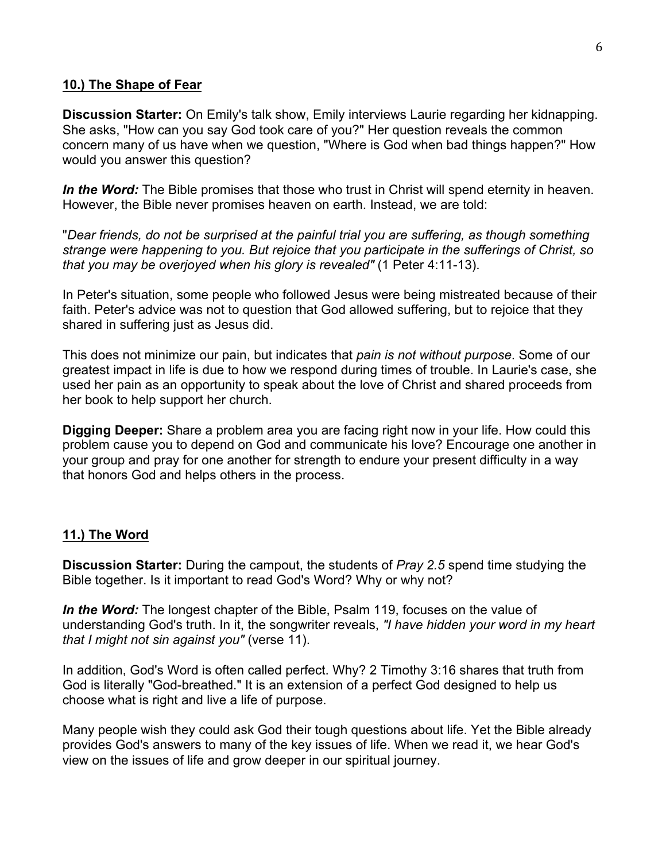#### **10.) The Shape of Fear**

**Discussion Starter:** On Emily's talk show, Emily interviews Laurie regarding her kidnapping. She asks, "How can you say God took care of you?" Her question reveals the common concern many of us have when we question, "Where is God when bad things happen?" How would you answer this question?

*In the Word:* The Bible promises that those who trust in Christ will spend eternity in heaven. However, the Bible never promises heaven on earth. Instead, we are told:

"*Dear friends, do not be surprised at the painful trial you are suffering, as though something strange were happening to you. But rejoice that you participate in the sufferings of Christ, so that you may be overjoyed when his glory is revealed"* (1 Peter 4:11-13).

In Peter's situation, some people who followed Jesus were being mistreated because of their faith. Peter's advice was not to question that God allowed suffering, but to rejoice that they shared in suffering just as Jesus did.

This does not minimize our pain, but indicates that *pain is not without purpose*. Some of our greatest impact in life is due to how we respond during times of trouble. In Laurie's case, she used her pain as an opportunity to speak about the love of Christ and shared proceeds from her book to help support her church.

**Digging Deeper:** Share a problem area you are facing right now in your life. How could this problem cause you to depend on God and communicate his love? Encourage one another in your group and pray for one another for strength to endure your present difficulty in a way that honors God and helps others in the process.

#### **11.) The Word**

**Discussion Starter:** During the campout, the students of *Pray 2.5* spend time studying the Bible together. Is it important to read God's Word? Why or why not?

*In the Word:* The longest chapter of the Bible, Psalm 119, focuses on the value of understanding God's truth. In it, the songwriter reveals, *"I have hidden your word in my heart that I might not sin against you"* (verse 11).

In addition, God's Word is often called perfect. Why? 2 Timothy 3:16 shares that truth from God is literally "God-breathed." It is an extension of a perfect God designed to help us choose what is right and live a life of purpose.

Many people wish they could ask God their tough questions about life. Yet the Bible already provides God's answers to many of the key issues of life. When we read it, we hear God's view on the issues of life and grow deeper in our spiritual journey.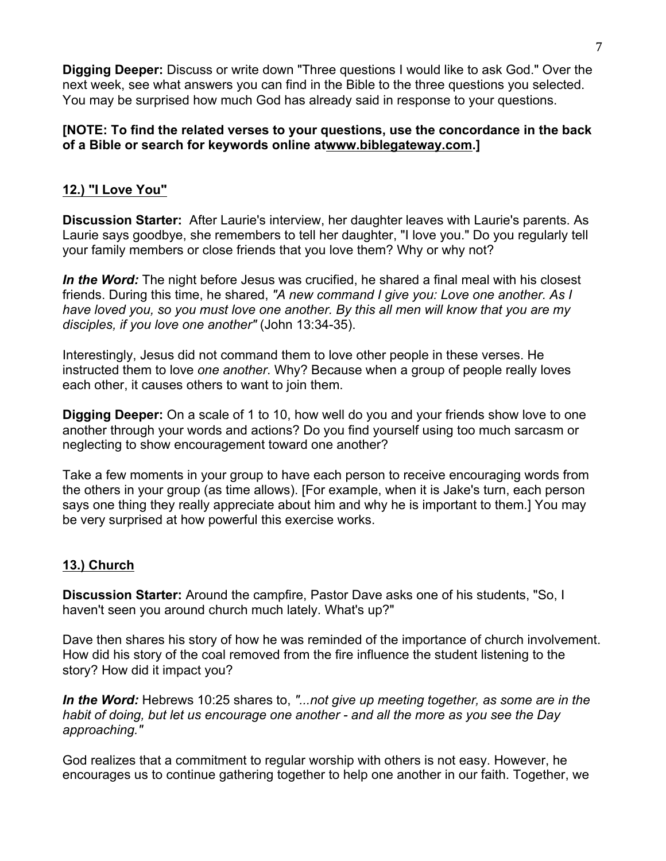**Digging Deeper:** Discuss or write down "Three questions I would like to ask God." Over the next week, see what answers you can find in the Bible to the three questions you selected. You may be surprised how much God has already said in response to your questions.

### **[NOTE: To find the related verses to your questions, use the concordance in the back of a Bible or search for keywords online atwww.biblegateway.com.]**

# **12.) "I Love You"**

**Discussion Starter:** After Laurie's interview, her daughter leaves with Laurie's parents. As Laurie says goodbye, she remembers to tell her daughter, "I love you." Do you regularly tell your family members or close friends that you love them? Why or why not?

*In the Word:* The night before Jesus was crucified, he shared a final meal with his closest friends. During this time, he shared, *"A new command I give you: Love one another. As I have loved you, so you must love one another. By this all men will know that you are my disciples, if you love one another"* (John 13:34-35).

Interestingly, Jesus did not command them to love other people in these verses. He instructed them to love *one another*. Why? Because when a group of people really loves each other, it causes others to want to join them.

**Digging Deeper:** On a scale of 1 to 10, how well do you and your friends show love to one another through your words and actions? Do you find yourself using too much sarcasm or neglecting to show encouragement toward one another?

Take a few moments in your group to have each person to receive encouraging words from the others in your group (as time allows). [For example, when it is Jake's turn, each person says one thing they really appreciate about him and why he is important to them.] You may be very surprised at how powerful this exercise works.

## **13.) Church**

**Discussion Starter:** Around the campfire, Pastor Dave asks one of his students, "So, I haven't seen you around church much lately. What's up?"

Dave then shares his story of how he was reminded of the importance of church involvement. How did his story of the coal removed from the fire influence the student listening to the story? How did it impact you?

*In the Word:* Hebrews 10:25 shares to, *"...not give up meeting together, as some are in the habit of doing, but let us encourage one another - and all the more as you see the Day approaching."*

God realizes that a commitment to regular worship with others is not easy. However, he encourages us to continue gathering together to help one another in our faith. Together, we